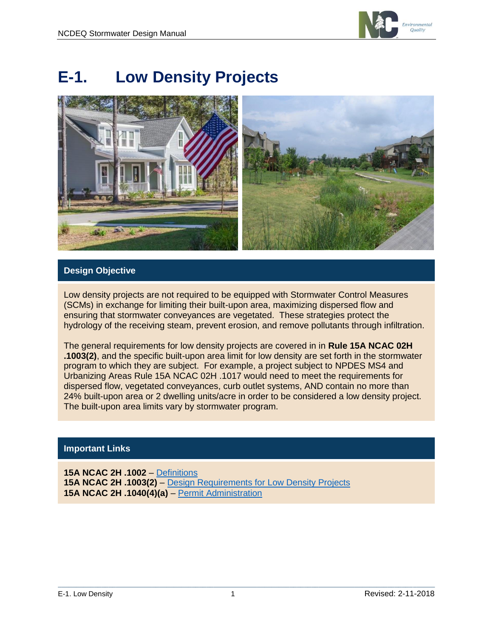

# **E-1. Low Density Projects**



# **Design Objective**

Low density projects are not required to be equipped with Stormwater Control Measures (SCMs) in exchange for limiting their built-upon area, maximizing dispersed flow and ensuring that stormwater conveyances are vegetated. These strategies protect the hydrology of the receiving steam, prevent erosion, and remove pollutants through infiltration.

The general requirements for low density projects are covered in in **Rule 15A NCAC 02H .1003(2)**, and the specific built-upon area limit for low density are set forth in the stormwater program to which they are subject. For example, a project subject to NPDES MS4 and Urbanizing Areas Rule 15A NCAC 02H .1017 would need to meet the requirements for dispersed flow, vegetated conveyances, curb outlet systems, AND contain no more than 24% built-upon area or 2 dwelling units/acre in order to be considered a low density project. The built-upon area limits vary by stormwater program.

### **Important Links**

**15A NCAC 2H .1002** – [Definitions](http://reports.oah.state.nc.us/ncac/title%2015a%20-%20environmental%20quality/chapter%2002%20-%20environmental%20management/subchapter%20h/15a%20ncac%2002h%20.1002.pdf) **15A NCAC 2H .1003(2)** – [Design Requirements for Low Density Projects](http://reports.oah.state.nc.us/ncac/title%2015a%20-%20environmental%20quality/chapter%2002%20-%20environmental%20management/subchapter%20h/15a%20ncac%2002h%20.1003.pdf) **15A NCAC 2H .1040(4)(a)** – [Permit Administration](http://reports.oah.state.nc.us/ncac/title%2015a%20-%20environmental%20quality/chapter%2002%20-%20environmental%20management/subchapter%20h/15a%20ncac%2002h%20.1040.pdf)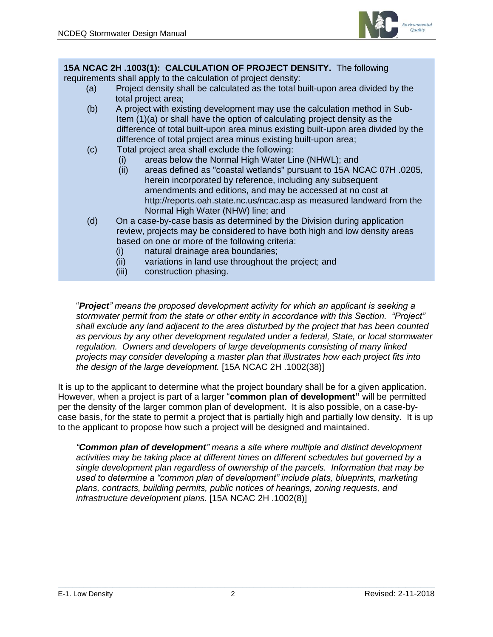

**15A NCAC 2H .1003(1): CALCULATION OF PROJECT DENSITY.** The following requirements shall apply to the calculation of project density: (a) Project density shall be calculated as the total built-upon area divided by the total project area; (b) A project with existing development may use the calculation method in Sub- Item (1)(a) or shall have the option of calculating project density as the difference of total built-upon area minus existing built-upon area divided by the difference of total project area minus existing built-upon area; (c) Total project area shall exclude the following: (i) areas below the Normal High Water Line (NHWL); and (ii) areas defined as "coastal wetlands" pursuant to 15A NCAC 07H .0205, herein incorporated by reference, including any subsequent amendments and editions, and may be accessed at no cost at http://reports.oah.state.nc.us/ncac.asp as measured landward from the Normal High Water (NHW) line; and (d) On a case-by-case basis as determined by the Division during application review, projects may be considered to have both high and low density areas based on one or more of the following criteria: (i) natural drainage area boundaries; (ii) variations in land use throughout the project; and (iii) construction phasing.

"*Project" means the proposed development activity for which an applicant is seeking a stormwater permit from the state or other entity in accordance with this Section. "Project" shall exclude any land adjacent to the area disturbed by the project that has been counted as pervious by any other development regulated under a federal, State, or local stormwater regulation. Owners and developers of large developments consisting of many linked projects may consider developing a master plan that illustrates how each project fits into the design of the large development.* [15A NCAC 2H .1002(38)]

It is up to the applicant to determine what the project boundary shall be for a given application. However, when a project is part of a larger "**common plan of development"** will be permitted per the density of the larger common plan of development. It is also possible, on a case-bycase basis, for the state to permit a project that is partially high and partially low density. It is up to the applicant to propose how such a project will be designed and maintained.

*"Common plan of development" means a site where multiple and distinct development activities may be taking place at different times on different schedules but governed by a single development plan regardless of ownership of the parcels. Information that may be used to determine a "common plan of development" include plats, blueprints, marketing plans, contracts, building permits, public notices of hearings, zoning requests, and infrastructure development plans.* [15A NCAC 2H .1002(8)]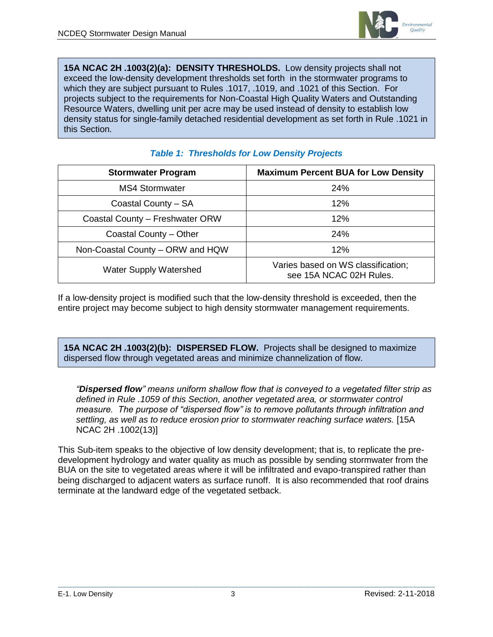

**15A NCAC 2H .1003(2)(a): DENSITY THRESHOLDS.** Low density projects shall not exceed the low-density development thresholds set forth in the stormwater programs to which they are subject pursuant to Rules .1017, .1019, and .1021 of this Section. For projects subject to the requirements for Non-Coastal High Quality Waters and Outstanding Resource Waters, dwelling unit per acre may be used instead of density to establish low density status for single-family detached residential development as set forth in Rule .1021 in this Section.

| <b>Stormwater Program</b>        | <b>Maximum Percent BUA for Low Density</b>                    |
|----------------------------------|---------------------------------------------------------------|
| MS4 Stormwater                   | 24%                                                           |
| Coastal County - SA              | 12%                                                           |
| Coastal County - Freshwater ORW  | 12%                                                           |
| Coastal County - Other           | 24%                                                           |
| Non-Coastal County – ORW and HQW | 12%                                                           |
| <b>Water Supply Watershed</b>    | Varies based on WS classification;<br>see 15A NCAC 02H Rules. |

## *Table 1: Thresholds for Low Density Projects*

If a low-density project is modified such that the low-density threshold is exceeded, then the entire project may become subject to high density stormwater management requirements.

**15A NCAC 2H .1003(2)(b): DISPERSED FLOW.** Projects shall be designed to maximize dispersed flow through vegetated areas and minimize channelization of flow.

*"Dispersed flow" means uniform shallow flow that is conveyed to a vegetated filter strip as defined in Rule .1059 of this Section, another vegetated area, or stormwater control measure. The purpose of "dispersed flow" is to remove pollutants through infiltration and settling, as well as to reduce erosion prior to stormwater reaching surface waters.* [15A NCAC 2H .1002(13)]

This Sub-item speaks to the objective of low density development; that is, to replicate the predevelopment hydrology and water quality as much as possible by sending stormwater from the BUA on the site to vegetated areas where it will be infiltrated and evapo-transpired rather than being discharged to adjacent waters as surface runoff. It is also recommended that roof drains terminate at the landward edge of the vegetated setback.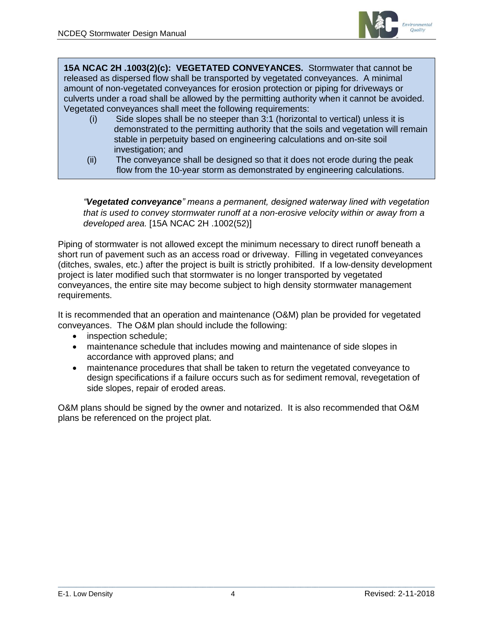

**15A NCAC 2H .1003(2)(c): VEGETATED CONVEYANCES.** Stormwater that cannot be released as dispersed flow shall be transported by vegetated conveyances. A minimal amount of non-vegetated conveyances for erosion protection or piping for driveways or culverts under a road shall be allowed by the permitting authority when it cannot be avoided. Vegetated conveyances shall meet the following requirements:

- (i) Side slopes shall be no steeper than 3:1 (horizontal to vertical) unless it is demonstrated to the permitting authority that the soils and vegetation will remain stable in perpetuity based on engineering calculations and on-site soil investigation; and
- (ii) The conveyance shall be designed so that it does not erode during the peak flow from the 10-year storm as demonstrated by engineering calculations.

*"Vegetated conveyance" means a permanent, designed waterway lined with vegetation that is used to convey stormwater runoff at a non-erosive velocity within or away from a developed area.* [15A NCAC 2H .1002(52)]

Piping of stormwater is not allowed except the minimum necessary to direct runoff beneath a short run of pavement such as an access road or driveway. Filling in vegetated conveyances (ditches, swales, etc.) after the project is built is strictly prohibited. If a low-density development project is later modified such that stormwater is no longer transported by vegetated conveyances, the entire site may become subject to high density stormwater management requirements.

It is recommended that an operation and maintenance (O&M) plan be provided for vegetated conveyances. The O&M plan should include the following:

- inspection schedule;
- maintenance schedule that includes mowing and maintenance of side slopes in accordance with approved plans; and
- maintenance procedures that shall be taken to return the vegetated conveyance to design specifications if a failure occurs such as for sediment removal, revegetation of side slopes, repair of eroded areas.

O&M plans should be signed by the owner and notarized. It is also recommended that O&M plans be referenced on the project plat.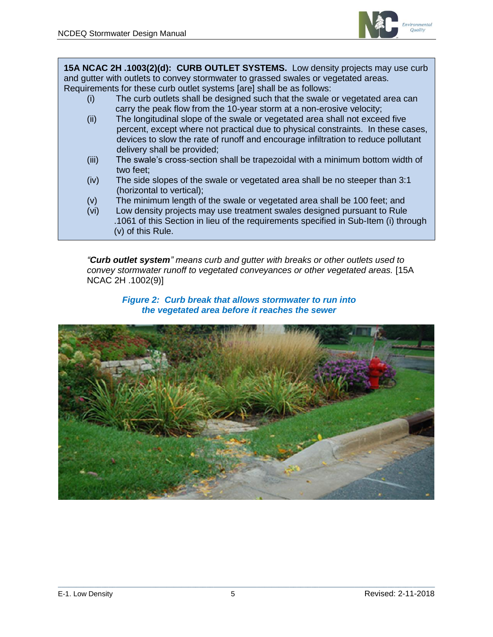

**15A NCAC 2H .1003(2)(d): CURB OUTLET SYSTEMS.** Low density projects may use curb and gutter with outlets to convey stormwater to grassed swales or vegetated areas. Requirements for these curb outlet systems [are] shall be as follows:

- (i) The curb outlets shall be designed such that the swale or vegetated area can carry the peak flow from the 10-year storm at a non-erosive velocity;
- (ii) The longitudinal slope of the swale or vegetated area shall not exceed five percent, except where not practical due to physical constraints. In these cases, devices to slow the rate of runoff and encourage infiltration to reduce pollutant delivery shall be provided;
- (iii) The swale's cross-section shall be trapezoidal with a minimum bottom width of two feet;
- (iv) The side slopes of the swale or vegetated area shall be no steeper than 3:1 (horizontal to vertical);
- (v) The minimum length of the swale or vegetated area shall be 100 feet; and
- (vi) Low density projects may use treatment swales designed pursuant to Rule .1061 of this Section in lieu of the requirements specified in Sub-Item (i) through (v) of this Rule.

*"Curb outlet system" means curb and gutter with breaks or other outlets used to convey stormwater runoff to vegetated conveyances or other vegetated areas.* [15A NCAC 2H .1002(9)]

#### *Figure 2: Curb break that allows stormwater to run into the vegetated area before it reaches the sewer*

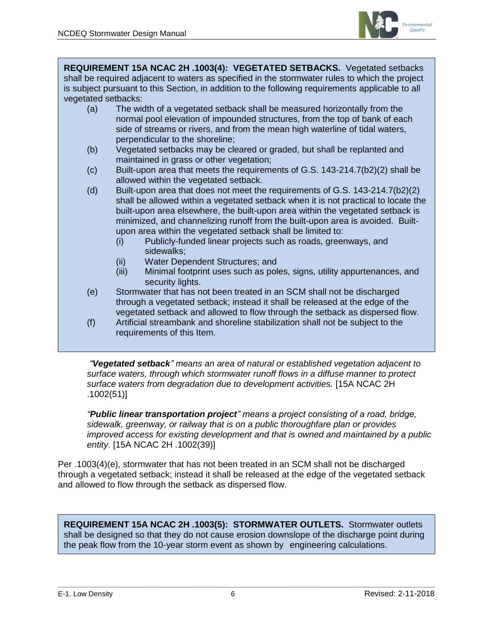

**REQUIREMENT 15A NCAC 2H .1003(4): VEGETATED SETBACKS.** Vegetated setbacks shall be required adjacent to waters as specified in the stormwater rules to which the project is subject pursuant to this Section, in addition to the following requirements applicable to all vegetated setbacks:

- (a) The width of a vegetated setback shall be measured horizontally from the normal pool elevation of impounded structures, from the top of bank of each side of streams or rivers, and from the mean high waterline of tidal waters, perpendicular to the shoreline;
- (b) Vegetated setbacks may be cleared or graded, but shall be replanted and maintained in grass or other vegetation;
- (c) Built-upon area that meets the requirements of G.S. 143-214.7(b2)(2) shall be allowed within the vegetated setback.
- (d) Built-upon area that does not meet the requirements of G.S. 143-214.7(b2)(2) shall be allowed within a vegetated setback when it is not practical to locate the built-upon area elsewhere, the built-upon area within the vegetated setback is minimized, and channelizing runoff from the built-upon area is avoided. Builtupon area within the vegetated setback shall be limited to:
	- (i) Publicly-funded linear projects such as roads, greenways, and sidewalks;
	- (ii) Water Dependent Structures; and
	- (iii) Minimal footprint uses such as poles, signs, utility appurtenances, and security lights.
- (e) Stormwater that has not been treated in an SCM shall not be discharged through a vegetated setback; instead it shall be released at the edge of the vegetated setback and allowed to flow through the setback as dispersed flow.
- (f) Artificial streambank and shoreline stabilization shall not be subject to the requirements of this Item.

*"Vegetated setback" means an area of natural or established vegetation adjacent to surface waters, through which stormwater runoff flows in a diffuse manner to protect surface waters from degradation due to development activities.* [15A NCAC 2H .1002(51)]

*"Public linear transportation project" means a project consisting of a road, bridge, sidewalk, greenway, or railway that is on a public thoroughfare plan or provides improved access for existing development and that is owned and maintained by a public entity.* [15A NCAC 2H .1002(39)]

Per .1003(4)(e), stormwater that has not been treated in an SCM shall not be discharged through a vegetated setback; instead it shall be released at the edge of the vegetated setback and allowed to flow through the setback as dispersed flow.

**REQUIREMENT 15A NCAC 2H .1003(5): STORMWATER OUTLETS.** Stormwater outlets shall be designed so that they do not cause erosion downslope of the discharge point during the peak flow from the 10-year storm event as shown by engineering calculations.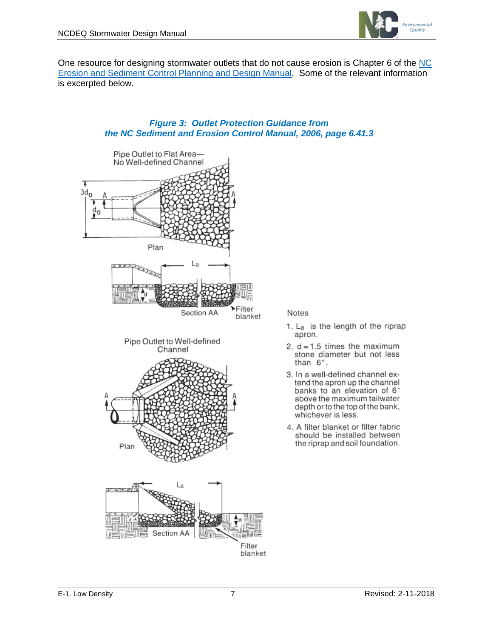

One resource for designing stormwater outlets that do not cause erosion is Chapter 6 of the [NC](https://ncdenr.s3.amazonaws.com/s3fs-public/Energy%20Mineral%20and%20Land%20Resources/Land%20Resources/Land%20Quality/Erosion%20and%20Sediment%20Control%20Planning%20and%20Design%20Manual/Chapter%206/E%26SC%20Manual%20Chapter%206%20Complete%20Rev.%20May%202013.pdf)  [Erosion and Sediment Control Planning and Design Manual.](https://ncdenr.s3.amazonaws.com/s3fs-public/Energy%20Mineral%20and%20Land%20Resources/Land%20Resources/Land%20Quality/Erosion%20and%20Sediment%20Control%20Planning%20and%20Design%20Manual/Chapter%206/E%26SC%20Manual%20Chapter%206%20Complete%20Rev.%20May%202013.pdf) Some of the relevant information is excerpted below.

#### *Figure 3: Outlet Protection Guidance from the NC Sediment and Erosion Control Manual, 2006, page 6.41.3*



#### Notes

- 1. L<sub>a</sub> is the length of the riprap apron.
- 2.  $d = 1.5$  times the maximum stone diameter but not less than  $6$ ".
- 3. In a well-defined channel extend the apron up the channel banks to an elevation of 6" above the maximum tailwater depth or to the top of the bank, whichever is less.
- 4. A filter blanket or filter fabric should be installed between the riprap and soil foundation.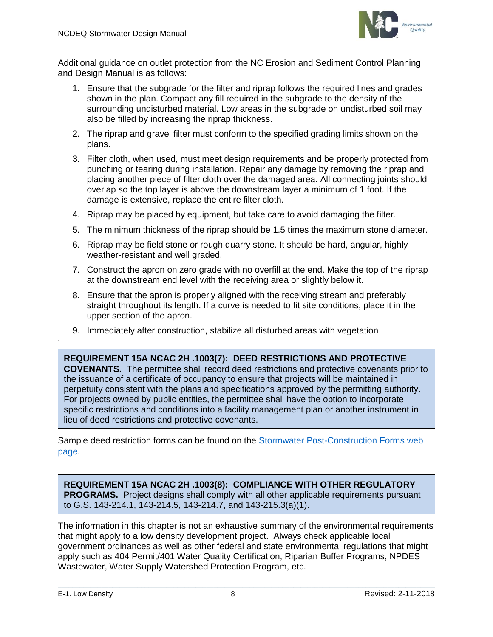

Additional guidance on outlet protection from the NC Erosion and Sediment Control Planning and Design Manual is as follows:

- 1. Ensure that the subgrade for the filter and riprap follows the required lines and grades shown in the plan. Compact any fill required in the subgrade to the density of the surrounding undisturbed material. Low areas in the subgrade on undisturbed soil may also be filled by increasing the riprap thickness.
- 2. The riprap and gravel filter must conform to the specified grading limits shown on the plans.
- 3. Filter cloth, when used, must meet design requirements and be properly protected from punching or tearing during installation. Repair any damage by removing the riprap and placing another piece of filter cloth over the damaged area. All connecting joints should overlap so the top layer is above the downstream layer a minimum of 1 foot. If the damage is extensive, replace the entire filter cloth.
- 4. Riprap may be placed by equipment, but take care to avoid damaging the filter.
- 5. The minimum thickness of the riprap should be 1.5 times the maximum stone diameter.
- 6. Riprap may be field stone or rough quarry stone. It should be hard, angular, highly weather-resistant and well graded.
- 7. Construct the apron on zero grade with no overfill at the end. Make the top of the riprap at the downstream end level with the receiving area or slightly below it.
- 8. Ensure that the apron is properly aligned with the receiving stream and preferably straight throughout its length. If a curve is needed to fit site conditions, place it in the upper section of the apron.
- 9. Immediately after construction, stabilize all disturbed areas with vegetation

**REQUIREMENT 15A NCAC 2H .1003(7): DEED RESTRICTIONS AND PROTECTIVE COVENANTS.** The permittee shall record deed restrictions and protective covenants prior to the issuance of a certificate of occupancy to ensure that projects will be maintained in perpetuity consistent with the plans and specifications approved by the permitting authority. For projects owned by public entities, the permittee shall have the option to incorporate specific restrictions and conditions into a facility management plan or another instrument in lieu of deed restrictions and protective covenants.

Sample deed restriction forms can be found on the [Stormwater Post-Construction Forms web](file:///C:/Users/Jay/Downloads/environmental%20requirements%20that%20might%20apply%20to%20a%20low%20density%20development%20project.%20%20Always%20check)  [page.](file:///C:/Users/Jay/Downloads/environmental%20requirements%20that%20might%20apply%20to%20a%20low%20density%20development%20project.%20%20Always%20check)

**REQUIREMENT 15A NCAC 2H .1003(8): COMPLIANCE WITH OTHER REGULATORY PROGRAMS.** Project designs shall comply with all other applicable requirements pursuant to G.S. 143-214.1, 143-214.5, 143-214.7, and 143-215.3(a)(1).

The information in this chapter is not an exhaustive summary of the environmental requirements that might apply to a low density development project. Always check applicable local government ordinances as well as other federal and state environmental regulations that might apply such as 404 Permit/401 Water Quality Certification, Riparian Buffer Programs, NPDES Wastewater, Water Supply Watershed Protection Program, etc.